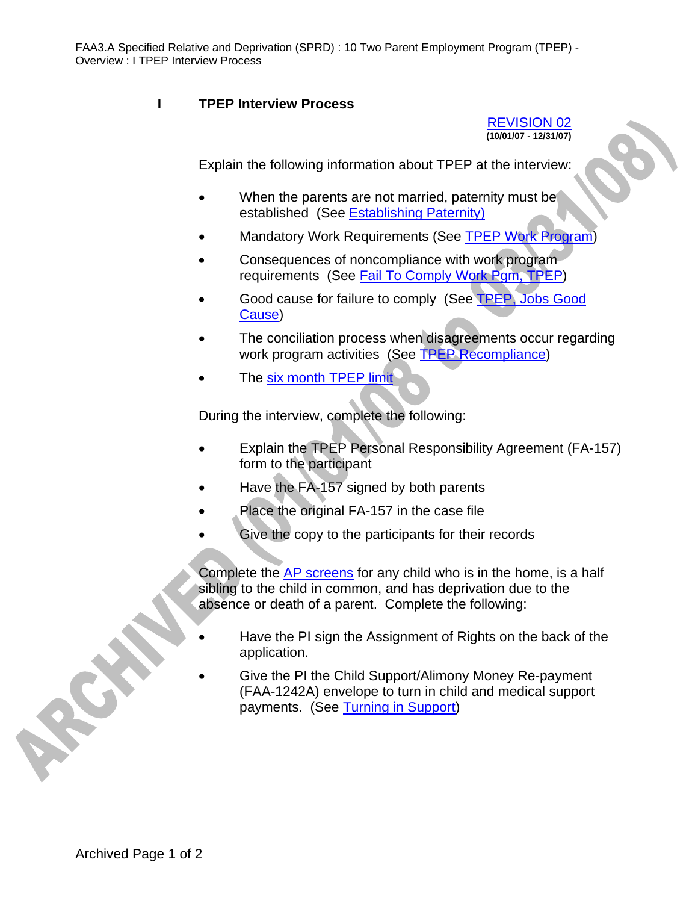## **I TPEP Interview Process**

REVISION 02 **(10/01/07 - 12/31/07)** 



Explain the following information about TPEP at the interview:

- When the parents are not married, paternity must be established (See Establishing Paternity)
- Mandatory Work Requirements (See TPEP Work Program)
- Consequences of noncompliance with work program requirements (See Fail To Comply Work Pgm, TPEP)
- Good cause for failure to comply (See TPEP, Jobs Good Cause)
- The conciliation process when disagreements occur regarding work program activities (See TPEP Recompliance)
- The six month TPEP limit

During the interview, complete the following:

- Explain the TPEP Personal Responsibility Agreement (FA-157) form to the participant
- Have the FA-157 signed by both parents
- Place the original FA-157 in the case file
- Give the copy to the participants for their records

Complete the AP screens for any child who is in the home, is a half sibling to the child in common, and has deprivation due to the absence or death of a parent. Complete the following:

- Have the PI sign the Assignment of Rights on the back of the application.
- Give the PI the Child Support/Alimony Money Re-payment (FAA-1242A) envelope to turn in child and medical support payments. (See Turning in Support)

ROS